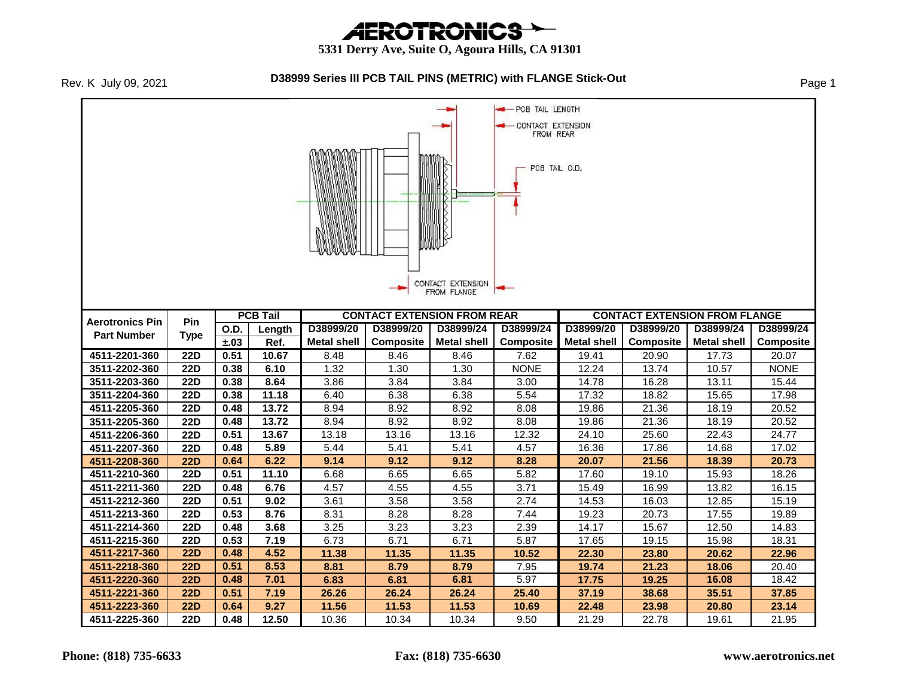# *AEROTRONICS*

 **5331 Derry Ave, Suite O, Agoura Hills, CA 91301**



#### **D38999 Series III PCB TAIL PINS (METRIC) with FLANGE Stick-Out** Page 1

**-** PCB TAIL LENGTH CONTACT EXTENSION FROM REAR PCB TAIL O.D. CONTACT EXTENSION FROM FLANGE **PCB Tail CONTACT EXTENSION FROM REAR CONTACT EXTENSION FROM FLANGE Aerotronics Pin Pin D38999/24 O.D. Length D38999/20 D38999/20 D38999/24 D38999/24 D38999/20 D38999/20 D38999/24 Part Number Type Composite Composite ±.03 Ref. Metal shell Metal shell Composite Metal shell Metal shell Composite 4511-2201-360 22D 0.51 10.67** 8.48 8.46 8.46 7.62 19.41 20.90 17.73 20.07 **3511-2202-360 22D 0.38 6.10** 1.32 1.30 1.30 NONE 12.24 13.74 10.57 NONE **3511-2203-360 | 22D | 0.38 | 8.64 | 3.86 | 3.84 | 3.84 | 3.00 | 14.78 | 16.28 | 13.11 | 15.44 3511-2204-360 | 22D | 0.38 | 11.18 | 6.40 | 6.38 | 6.38 | 5.54 | 17.32 | 18.82 | 15.65 | 17.98 4511-2205-360 | 22D | 0.48 | 13.72 | 8.94 | 8.92 | 8.92 | 8.08 | 19.86 | 21.36 | 18.19 | 20.52 3511-2205-360 | 22D | 0.48 | 13.72 | 8.94 | 8.92 | 8.92 | 8.08 | 19.86 | 21.36 | 18.19 | 20.52 4511-2206-360 22D 0.51 13.67** 13.18 13.16 13.16 12.32 24.10 25.60 22.43 24.77 **4511-2207-360 22D 0.48 5.89** 5.44 5.41 5.41 4.57 16.36 17.86 14.68 17.02 **4511-2208-360 22D 0.64 6.22 9.14 9.12 9.12 8.28 20.07 21.56 18.39 20.73 4511-2210-360 | 22D | 0.51 | 11.10 | 6.68 | 6.65 | 5.82 | 17.60 | 19.10 | 15.93 | 18.26 4511-2211-360 22D 0.48 6.76** 4.57 4.55 4.55 3.71 15.49 16.99 13.82 16.15 **4511-2212-360 | 22D | 0.51 | 9.02 |** 3.61 | 3.58 | 3.58 | 2.74 | 14.53 | 16.03 | 12.85 | 15.19 **4511-2213-360 | 22D | 0.53 | 8.76 |** 8.31 | 8.28 | 8.28 | 7.44 | 19.23 | 20.73 | 17.55 | 19.89 **4511-2214-360 22D 0.48 3.68** 3.25 3.23 3.23 2.39 14.17 15.67 12.50 14.83 **4511-2215-360 | 22D | 0.53 | 7.19 | 6.73 | 6.71 | 6.71 | 5.87 | 17.65 | 19.15 | 15.98 | 18.31 | 1 4511-2217-360 22D 0.48 4.52 11.38 11.35 11.35 10.52 22.30 23.80 20.62 22.96 4511-2218-360 22D 0.51 8.53 8.81 8.79 8.79** 7.95 **19.74 21.23 18.06** 20.40 **4511-2220-360 22D 0.48 7.01 6.83 6.81 6.81** 5.97 **17.75 19.25 16.08** 18.42 **4511-2221-360 22D 0.51 7.19 26.26 26.24 26.24 25.40 37.19 38.68 35.51 37.85 4511-2223-360 22D 0.64 9.27 11.56 11.53 11.53 10.69 22.48 23.98 20.80 23.14 4511-2225-360 22D 0.48 12.50** 10.36 10.34 10.34 9.50 21.29 22.78 19.61 21.95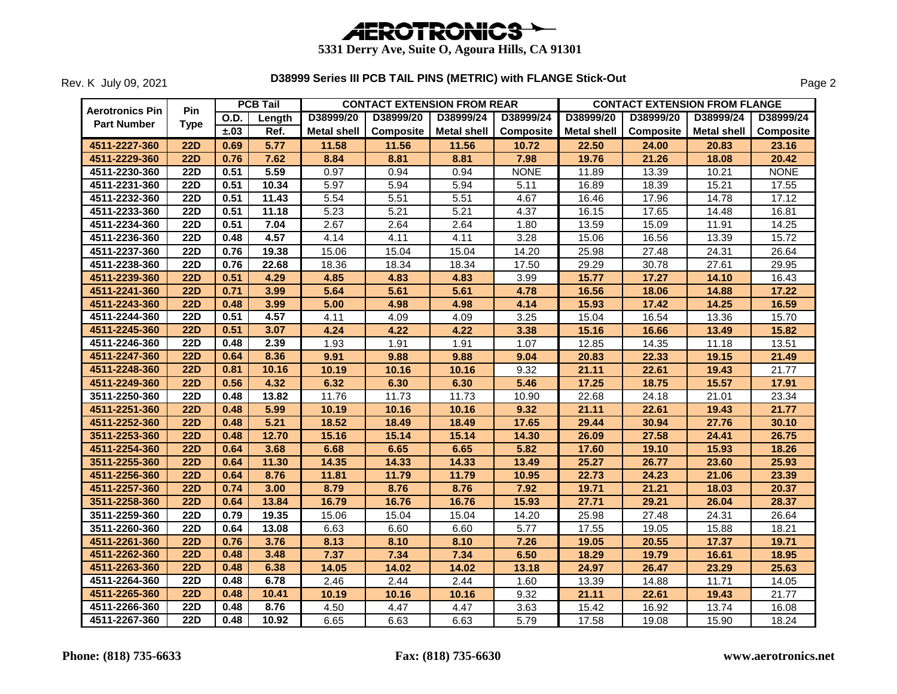

|                        |                  |             | <b>PCB Tail</b> |                    |           | <b>CONTACT EXTENSION FROM REAR</b> |                  |                    | <b>CONTACT EXTENSION FROM FLANGE</b> |             |             |
|------------------------|------------------|-------------|-----------------|--------------------|-----------|------------------------------------|------------------|--------------------|--------------------------------------|-------------|-------------|
| <b>Aerotronics Pin</b> | Pin              | <b>O.D.</b> | Length          | D38999/20          | D38999/20 | D38999/24                          | D38999/24        | D38999/20          | D38999/20                            | D38999/24   | D38999/24   |
| <b>Part Number</b>     | <b>Type</b>      | ±.03        | Ref.            | <b>Metal shell</b> | Composite | <b>Metal shell</b>                 | <b>Composite</b> | <b>Metal shell</b> | Composite                            | Metal shell | Composite   |
| 4511-2227-360          | <b>22D</b>       | 0.69        | 5.77            | 11.58              | 11.56     | 11.56                              | 10.72            | 22.50              | 24.00                                | 20.83       | 23.16       |
| 4511-2229-360          | <b>22D</b>       | 0.76        | 7.62            | 8.84               | 8.81      | 8.81                               | 7.98             | 19.76              | 21.26                                | 18.08       | 20.42       |
| 4511-2230-360          | <b>22D</b>       | 0.51        | 5.59            | 0.97               | 0.94      | 0.94                               | <b>NONE</b>      | 11.89              | 13.39                                | 10.21       | <b>NONE</b> |
| 4511-2231-360          | <b>22D</b>       | 0.51        | 10.34           | 5.97               | 5.94      | 5.94                               | 5.11             | 16.89              | 18.39                                | 15.21       | 17.55       |
| 4511-2232-360          | <b>22D</b>       | 0.51        | 11.43           | 5.54               | 5.51      | 5.51                               | 4.67             | 16.46              | 17.96                                | 14.78       | 17.12       |
| 4511-2233-360          | <b>22D</b>       | 0.51        | 11.18           | 5.23               | 5.21      | 5.21                               | 4.37             | 16.15              | 17.65                                | 14.48       | 16.81       |
| 4511-2234-360          | <b>22D</b>       | 0.51        | 7.04            | 2.67               | 2.64      | 2.64                               | 1.80             | 13.59              | 15.09                                | 11.91       | 14.25       |
| 4511-2236-360          | <b>22D</b>       | 0.48        | 4.57            | 4.14               | 4.11      | 4.11                               | 3.28             | 15.06              | 16.56                                | 13.39       | 15.72       |
| 4511-2237-360          | <b>22D</b>       | 0.76        | 19.38           | 15.06              | 15.04     | 15.04                              | 14.20            | 25.98              | 27.48                                | 24.31       | 26.64       |
| 4511-2238-360          | <b>22D</b>       | 0.76        | 22.68           | 18.36              | 18.34     | 18.34                              | 17.50            | 29.29              | 30.78                                | 27.61       | 29.95       |
| 4511-2239-360          | <b>22D</b>       | 0.51        | 4.29            | 4.85               | 4.83      | 4.83                               | 3.99             | 15.77              | 17.27                                | 14.10       | 16.43       |
| 4511-2241-360          | <b>22D</b>       | 0.71        | 3.99            | 5.64               | 5.61      | 5.61                               | 4.78             | 16.56              | 18.06                                | 14.88       | 17.22       |
| 4511-2243-360          | <b>22D</b>       | 0.48        | 3.99            | 5.00               | 4.98      | 4.98                               | 4.14             | 15.93              | 17.42                                | 14.25       | 16.59       |
| 4511-2244-360          | <b>22D</b>       | 0.51        | 4.57            | 4.11               | 4.09      | 4.09                               | 3.25             | 15.04              | 16.54                                | 13.36       | 15.70       |
| 4511-2245-360          | 22D              | 0.51        | 3.07            | 4.24               | 4.22      | 4.22                               | 3.38             | 15.16              | 16.66                                | 13.49       | 15.82       |
| 4511-2246-360          | <b>22D</b>       | 0.48        | 2.39            | 1.93               | 1.91      | 1.91                               | 1.07             | 12.85              | 14.35                                | 11.18       | 13.51       |
| 4511-2247-360          | 22D              | 0.64        | 8.36            | 9.91               | 9.88      | 9.88                               | 9.04             | 20.83              | 22.33                                | 19.15       | 21.49       |
| 4511-2248-360          | <b>22D</b>       | 0.81        | 10.16           | 10.19              | 10.16     | 10.16                              | 9.32             | 21.11              | 22.61                                | 19.43       | 21.77       |
| 4511-2249-360          | <b>22D</b>       | 0.56        | 4.32            | 6.32               | 6.30      | 6.30                               | 5.46             | 17.25              | 18.75                                | 15.57       | 17.91       |
| 3511-2250-360          | $\overline{22D}$ | 0.48        | 13.82           | 11.76              | 11.73     | 11.73                              | 10.90            | 22.68              | 24.18                                | 21.01       | 23.34       |
| 4511-2251-360          | <b>22D</b>       | 0.48        | 5.99            | 10.19              | 10.16     | 10.16                              | 9.32             | 21.11              | 22.61                                | 19.43       | 21.77       |
| 4511-2252-360          | 22D              | 0.48        | 5.21            | 18.52              | 18.49     | 18.49                              | 17.65            | 29.44              | 30.94                                | 27.76       | 30.10       |
| 3511-2253-360          | 22D              | 0.48        | 12.70           | 15.16              | 15.14     | 15.14                              | 14.30            | 26.09              | 27.58                                | 24.41       | 26.75       |
| 4511-2254-360          | <b>22D</b>       | 0.64        | 3.68            | 6.68               | 6.65      | 6.65                               | 5.82             | 17.60              | 19.10                                | 15.93       | 18.26       |
| 3511-2255-360          | <b>22D</b>       | 0.64        | 11.30           | 14.35              | 14.33     | 14.33                              | 13.49            | 25.27              | 26.77                                | 23.60       | 25.93       |
| 4511-2256-360          | <b>22D</b>       | 0.64        | 8.76            | 11.81              | 11.79     | 11.79                              | 10.95            | 22.73              | 24.23                                | 21.06       | 23.39       |
| 4511-2257-360          | <b>22D</b>       | 0.74        | 3.00            | 8.79               | 8.76      | 8.76                               | 7.92             | 19.71              | 21.21                                | 18.03       | 20.37       |
| 3511-2258-360          | <b>22D</b>       | 0.64        | 13.84           | 16.79              | 16.76     | 16.76                              | 15.93            | 27.71              | 29.21                                | 26.04       | 28.37       |
| 3511-2259-360          | <b>22D</b>       | 0.79        | 19.35           | 15.06              | 15.04     | 15.04                              | 14.20            | 25.98              | 27.48                                | 24.31       | 26.64       |
| 3511-2260-360          | <b>22D</b>       | 0.64        | 13.08           | 6.63               | 6.60      | 6.60                               | 5.77             | 17.55              | 19.05                                | 15.88       | 18.21       |
| 4511-2261-360          | <b>22D</b>       | 0.76        | 3.76            | 8.13               | 8.10      | 8.10                               | 7.26             | 19.05              | 20.55                                | 17.37       | 19.71       |
| 4511-2262-360          | $\overline{22D}$ | 0.48        | 3.48            | 7.37               | 7.34      | 7.34                               | 6.50             | 18.29              | 19.79                                | 16.61       | 18.95       |
| 4511-2263-360          | <b>22D</b>       | 0.48        | 6.38            | 14.05              | 14.02     | 14.02                              | 13.18            | 24.97              | 26.47                                | 23.29       | 25.63       |
| 4511-2264-360          | $\overline{22D}$ | 0.48        | 6.78            | 2.46               | 2.44      | 2.44                               | 1.60             | 13.39              | 14.88                                | 11.71       | 14.05       |
| 4511-2265-360          | 22D              | 0.48        | 10.41           | 10.19              | 10.16     | 10.16                              | 9.32             | 21.11              | 22.61                                | 19.43       | 21.77       |
| 4511-2266-360          | 22D              | 0.48        | 8.76            | 4.50               | 4.47      | 4.47                               | 3.63             | 15.42              | 16.92                                | 13.74       | 16.08       |
| 4511-2267-360          | <b>22D</b>       | 0.48        | 10.92           | 6.65               | 6.63      | 6.63                               | 5.79             | 17.58              | 19.08                                | 15.90       | 18.24       |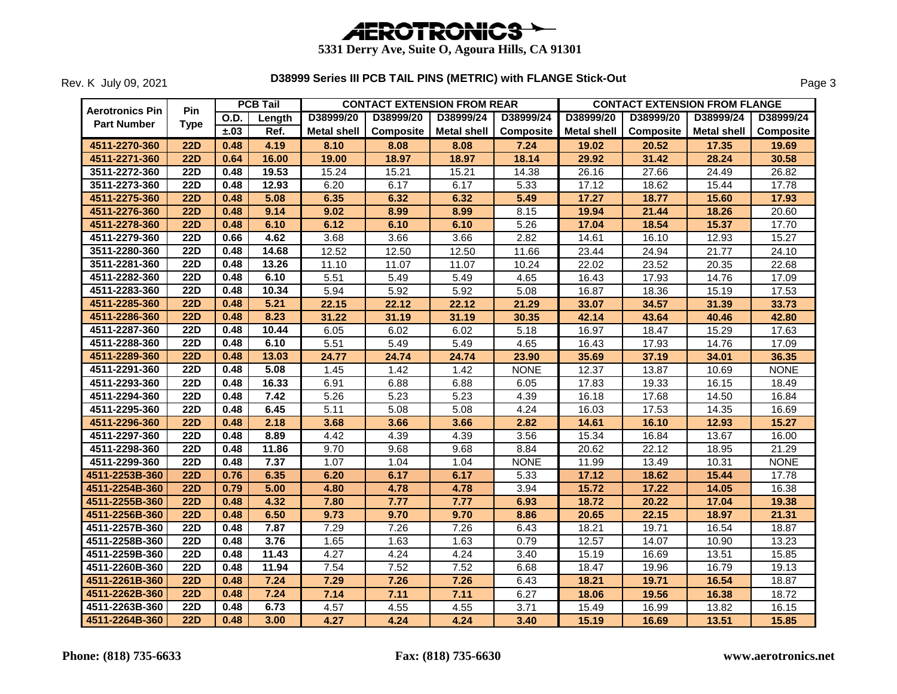

|                        |                  |             | <b>PCB Tail</b> | <b>CONTACT EXTENSION FROM REAR</b><br><b>CONTACT EXTENSION FROM FLANGE</b> |                  |                    |                  |                    |           |             |             |
|------------------------|------------------|-------------|-----------------|----------------------------------------------------------------------------|------------------|--------------------|------------------|--------------------|-----------|-------------|-------------|
| <b>Aerotronics Pin</b> | <b>Pin</b>       | <b>O.D.</b> | Length          | D38999/20                                                                  | D38999/20        | D38999/24          | D38999/24        | D38999/20          | D38999/20 | D38999/24   | D38999/24   |
| <b>Part Number</b>     | <b>Type</b>      | ±.03        | Ref.            | <b>Metal shell</b>                                                         | <b>Composite</b> | <b>Metal shell</b> | <b>Composite</b> | <b>Metal shell</b> | Composite | Metal shell | Composite   |
| 4511-2270-360          | <b>22D</b>       | 0.48        | 4.19            | 8.10                                                                       | 8.08             | 8.08               | 7.24             | 19.02              | 20.52     | 17.35       | 19.69       |
| 4511-2271-360          | <b>22D</b>       | 0.64        | 16.00           | 19.00                                                                      | 18.97            | 18.97              | 18.14            | 29.92              | 31.42     | 28.24       | 30.58       |
| 3511-2272-360          | <b>22D</b>       | 0.48        | 19.53           | 15.24                                                                      | 15.21            | 15.21              | 14.38            | 26.16              | 27.66     | 24.49       | 26.82       |
| 3511-2273-360          | <b>22D</b>       | 0.48        | 12.93           | 6.20                                                                       | 6.17             | 6.17               | 5.33             | 17.12              | 18.62     | 15.44       | 17.78       |
| 4511-2275-360          | <b>22D</b>       | 0.48        | 5.08            | 6.35                                                                       | 6.32             | 6.32               | 5.49             | 17.27              | 18.77     | 15.60       | 17.93       |
| 4511-2276-360          | <b>22D</b>       | 0.48        | 9.14            | 9.02                                                                       | 8.99             | 8.99               | 8.15             | 19.94              | 21.44     | 18.26       | 20.60       |
| 4511-2278-360          | <b>22D</b>       | 0.48        | 6.10            | 6.12                                                                       | 6.10             | 6.10               | 5.26             | 17.04              | 18.54     | 15.37       | 17.70       |
| 4511-2279-360          | <b>22D</b>       | 0.66        | 4.62            | 3.68                                                                       | 3.66             | 3.66               | 2.82             | 14.61              | 16.10     | 12.93       | 15.27       |
| 3511-2280-360          | <b>22D</b>       | 0.48        | 14.68           | 12.52                                                                      | 12.50            | 12.50              | 11.66            | 23.44              | 24.94     | 21.77       | 24.10       |
| 3511-2281-360          | $\overline{22D}$ | 0.48        | 13.26           | 11.10                                                                      | 11.07            | 11.07              | 10.24            | 22.02              | 23.52     | 20.35       | 22.68       |
| 4511-2282-360          | <b>22D</b>       | 0.48        | 6.10            | 5.51                                                                       | 5.49             | 5.49               | 4.65             | 16.43              | 17.93     | 14.76       | 17.09       |
| 4511-2283-360          | <b>22D</b>       | 0.48        | 10.34           | 5.94                                                                       | 5.92             | 5.92               | 5.08             | 16.87              | 18.36     | 15.19       | 17.53       |
| 4511-2285-360          | <b>22D</b>       | 0.48        | 5.21            | 22.15                                                                      | 22.12            | 22.12              | 21.29            | 33.07              | 34.57     | 31.39       | 33.73       |
| 4511-2286-360          | 22D              | 0.48        | 8.23            | 31.22                                                                      | 31.19            | 31.19              | 30.35            | 42.14              | 43.64     | 40.46       | 42.80       |
| 4511-2287-360          | <b>22D</b>       | 0.48        | 10.44           | 6.05                                                                       | 6.02             | 6.02               | 5.18             | 16.97              | 18.47     | 15.29       | 17.63       |
| 4511-2288-360          | <b>22D</b>       | 0.48        | 6.10            | 5.51                                                                       | 5.49             | 5.49               | 4.65             | 16.43              | 17.93     | 14.76       | 17.09       |
| 4511-2289-360          | <b>22D</b>       | 0.48        | 13.03           | 24.77                                                                      | 24.74            | 24.74              | 23.90            | 35.69              | 37.19     | 34.01       | 36.35       |
| 4511-2291-360          | <b>22D</b>       | 0.48        | 5.08            | 1.45                                                                       | 1.42             | 1.42               | <b>NONE</b>      | 12.37              | 13.87     | 10.69       | <b>NONE</b> |
| 4511-2293-360          | $\overline{22D}$ | 0.48        | 16.33           | 6.91                                                                       | 6.88             | 6.88               | 6.05             | 17.83              | 19.33     | 16.15       | 18.49       |
| 4511-2294-360          | <b>22D</b>       | 0.48        | 7.42            | 5.26                                                                       | 5.23             | 5.23               | 4.39             | 16.18              | 17.68     | 14.50       | 16.84       |
| 4511-2295-360          | <b>22D</b>       | 0.48        | 6.45            | $\overline{5.11}$                                                          | 5.08             | 5.08               | 4.24             | 16.03              | 17.53     | 14.35       | 16.69       |
| 4511-2296-360          | <b>22D</b>       | 0.48        | 2.18            | 3.68                                                                       | 3.66             | 3.66               | 2.82             | 14.61              | 16.10     | 12.93       | 15.27       |
| 4511-2297-360          | <b>22D</b>       | 0.48        | 8.89            | 4.42                                                                       | 4.39             | 4.39               | 3.56             | 15.34              | 16.84     | 13.67       | 16.00       |
| 4511-2298-360          | <b>22D</b>       | 0.48        | 11.86           | 9.70                                                                       | 9.68             | 9.68               | 8.84             | 20.62              | 22.12     | 18.95       | 21.29       |
| 4511-2299-360          | <b>22D</b>       | 0.48        | 7.37            | 1.07                                                                       | 1.04             | 1.04               | <b>NONE</b>      | 11.99              | 13.49     | 10.31       | <b>NONE</b> |
| 4511-2253B-360         | <b>22D</b>       | 0.76        | 6.35            | 6.20                                                                       | 6.17             | 6.17               | 5.33             | 17.12              | 18.62     | 15.44       | 17.78       |
| 4511-2254B-360         | <b>22D</b>       | 0.79        | 5.00            | 4.80                                                                       | 4.78             | 4.78               | 3.94             | 15.72              | 17.22     | 14.05       | 16.38       |
| 4511-2255B-360         | <b>22D</b>       | 0.48        | 4.32            | 7.80                                                                       | 7.77             | 7.77               | 6.93             | 18.72              | 20.22     | 17.04       | 19.38       |
| 4511-2256B-360         | <b>22D</b>       | 0.48        | 6.50            | 9.73                                                                       | 9.70             | 9.70               | 8.86             | 20.65              | 22.15     | 18.97       | 21.31       |
| 4511-2257B-360         | <b>22D</b>       | 0.48        | 7.87            | 7.29                                                                       | 7.26             | 7.26               | 6.43             | 18.21              | 19.71     | 16.54       | 18.87       |
| 4511-2258B-360         | <b>22D</b>       | 0.48        | 3.76            | 1.65                                                                       | 1.63             | 1.63               | 0.79             | 12.57              | 14.07     | 10.90       | 13.23       |
| 4511-2259B-360         | <b>22D</b>       | 0.48        | 11.43           | 4.27                                                                       | 4.24             | 4.24               | 3.40             | 15.19              | 16.69     | 13.51       | 15.85       |
| 4511-2260B-360         | <b>22D</b>       | 0.48        | 11.94           | 7.54                                                                       | 7.52             | 7.52               | 6.68             | 18.47              | 19.96     | 16.79       | 19.13       |
| 4511-2261B-360         | <b>22D</b>       | 0.48        | 7.24            | 7.29                                                                       | 7.26             | 7.26               | 6.43             | 18.21              | 19.71     | 16.54       | 18.87       |
| 4511-2262B-360         | <b>22D</b>       | 0.48        | 7.24            | 7.14                                                                       | 7.11             | 7.11               | 6.27             | 18.06              | 19.56     | 16.38       | 18.72       |
| 4511-2263B-360         | 22D              | 0.48        | 6.73            | 4.57                                                                       | 4.55             | 4.55               | 3.71             | 15.49              | 16.99     | 13.82       | 16.15       |
| 4511-2264B-360         | 22D              | 0.48        | 3.00            | 4.27                                                                       | 4.24             | 4.24               | 3.40             | 15.19              | 16.69     | 13.51       | 15.85       |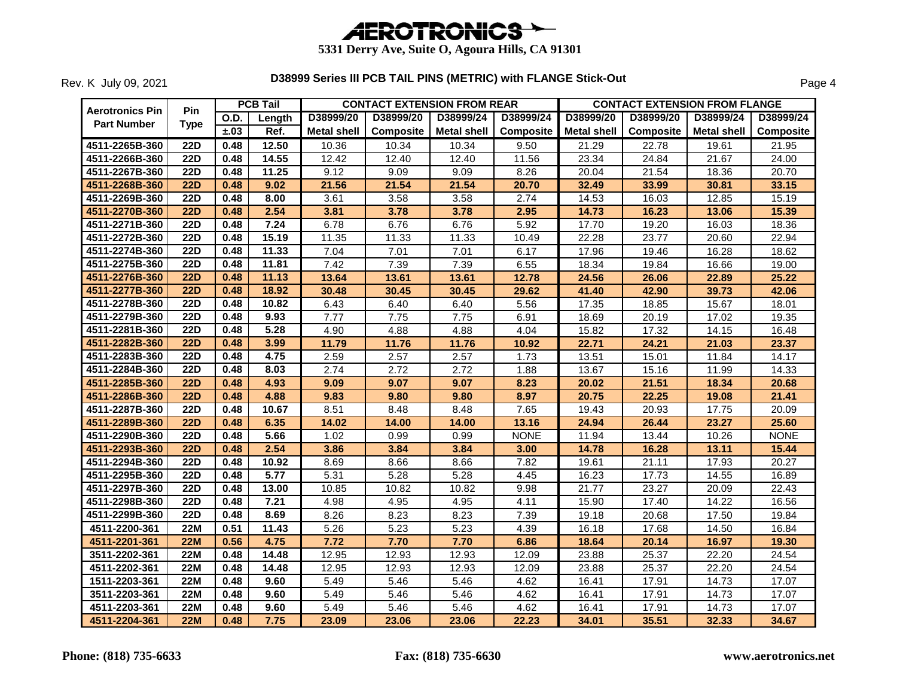

| Aerotronics Pin    | Pin         |      | <b>PCB Tail</b> |                    |           | <b>CONTACT EXTENSION FROM REAR</b> |             |             |                  | <b>CONTACT EXTENSION FROM FLANGE</b> |                  |
|--------------------|-------------|------|-----------------|--------------------|-----------|------------------------------------|-------------|-------------|------------------|--------------------------------------|------------------|
| <b>Part Number</b> | <b>Type</b> | O.D. | Length          | D38999/20          | D38999/20 | D38999/24                          | D38999/24   | D38999/20   | D38999/20        | D38999/24                            | D38999/24        |
|                    |             | ±.03 | Ref.            | <b>Metal shell</b> | Composite | <b>Metal shell</b>                 | Composite   | Metal shell | <b>Composite</b> | Metal shell                          | <b>Composite</b> |
| 4511-2265B-360     | <b>22D</b>  | 0.48 | 12.50           | 10.36              | 10.34     | 10.34                              | 9.50        | 21.29       | 22.78            | 19.61                                | 21.95            |
| 4511-2266B-360     | <b>22D</b>  | 0.48 | 14.55           | 12.42              | 12.40     | 12.40                              | 11.56       | 23.34       | 24.84            | 21.67                                | 24.00            |
| 4511-2267B-360     | <b>22D</b>  | 0.48 | 11.25           | 9.12               | 9.09      | 9.09                               | 8.26        | 20.04       | 21.54            | 18.36                                | 20.70            |
| 4511-2268B-360     | <b>22D</b>  | 0.48 | 9.02            | 21.56              | 21.54     | 21.54                              | 20.70       | 32.49       | 33.99            | 30.81                                | 33.15            |
| 4511-2269B-360     | <b>22D</b>  | 0.48 | 8.00            | 3.61               | 3.58      | 3.58                               | 2.74        | 14.53       | 16.03            | 12.85                                | 15.19            |
| 4511-2270B-360     | <b>22D</b>  | 0.48 | 2.54            | 3.81               | 3.78      | 3.78                               | 2.95        | 14.73       | 16.23            | 13.06                                | 15.39            |
| 4511-2271B-360     | <b>22D</b>  | 0.48 | 7.24            | 6.78               | 6.76      | 6.76                               | 5.92        | 17.70       | 19.20            | 16.03                                | 18.36            |
| 4511-2272B-360     | <b>22D</b>  | 0.48 | 15.19           | 11.35              | 11.33     | 11.33                              | 10.49       | 22.28       | 23.77            | 20.60                                | 22.94            |
| 4511-2274B-360     | <b>22D</b>  | 0.48 | 11.33           | 7.04               | 7.01      | 7.01                               | 6.17        | 17.96       | 19.46            | 16.28                                | 18.62            |
| 4511-2275B-360     | <b>22D</b>  | 0.48 | 11.81           | 7.42               | 7.39      | 7.39                               | 6.55        | 18.34       | 19.84            | 16.66                                | 19.00            |
| 4511-2276B-360     | <b>22D</b>  | 0.48 | 11.13           | 13.64              | 13.61     | 13.61                              | 12.78       | 24.56       | 26.06            | 22.89                                | 25.22            |
| 4511-2277B-360     | <b>22D</b>  | 0.48 | 18.92           | 30.48              | 30.45     | 30.45                              | 29.62       | 41.40       | 42.90            | 39.73                                | 42.06            |
| 4511-2278B-360     | <b>22D</b>  | 0.48 | 10.82           | 6.43               | 6.40      | 6.40                               | 5.56        | 17.35       | 18.85            | 15.67                                | 18.01            |
| 4511-2279B-360     | <b>22D</b>  | 0.48 | 9.93            | 7.77               | 7.75      | 7.75                               | 6.91        | 18.69       | 20.19            | 17.02                                | 19.35            |
| 4511-2281B-360     | <b>22D</b>  | 0.48 | 5.28            | 4.90               | 4.88      | 4.88                               | 4.04        | 15.82       | 17.32            | 14.15                                | 16.48            |
| 4511-2282B-360     | <b>22D</b>  | 0.48 | 3.99            | 11.79              | 11.76     | 11.76                              | 10.92       | 22.71       | 24.21            | 21.03                                | 23.37            |
| 4511-2283B-360     | <b>22D</b>  | 0.48 | 4.75            | 2.59               | 2.57      | 2.57                               | 1.73        | 13.51       | 15.01            | 11.84                                | 14.17            |
| 4511-2284B-360     | <b>22D</b>  | 0.48 | 8.03            | 2.74               | 2.72      | 2.72                               | 1.88        | 13.67       | 15.16            | 11.99                                | 14.33            |
| 4511-2285B-360     | <b>22D</b>  | 0.48 | 4.93            | 9.09               | 9.07      | 9.07                               | 8.23        | 20.02       | 21.51            | 18.34                                | 20.68            |
| 4511-2286B-360     | <b>22D</b>  | 0.48 | 4.88            | 9.83               | 9.80      | 9.80                               | 8.97        | 20.75       | 22.25            | 19.08                                | 21.41            |
| 4511-2287B-360     | <b>22D</b>  | 0.48 | 10.67           | 8.51               | 8.48      | 8.48                               | 7.65        | 19.43       | 20.93            | 17.75                                | 20.09            |
| 4511-2289B-360     | <b>22D</b>  | 0.48 | 6.35            | 14.02              | 14.00     | 14.00                              | 13.16       | 24.94       | 26.44            | 23.27                                | 25.60            |
| 4511-2290B-360     | <b>22D</b>  | 0.48 | 5.66            | 1.02               | 0.99      | 0.99                               | <b>NONE</b> | 11.94       | 13.44            | 10.26                                | <b>NONE</b>      |
| 4511-2293B-360     | <b>22D</b>  | 0.48 | 2.54            | 3.86               | 3.84      | 3.84                               | 3.00        | 14.78       | 16.28            | 13.11                                | 15.44            |
| 4511-2294B-360     | <b>22D</b>  | 0.48 | 10.92           | 8.69               | 8.66      | 8.66                               | 7.82        | 19.61       | 21.11            | 17.93                                | 20.27            |
| 4511-2295B-360     | <b>22D</b>  | 0.48 | 5.77            | 5.31               | 5.28      | 5.28                               | 4.45        | 16.23       | 17.73            | 14.55                                | 16.89            |
| 4511-2297B-360     | <b>22D</b>  | 0.48 | 13.00           | 10.85              | 10.82     | 10.82                              | 9.98        | 21.77       | 23.27            | 20.09                                | 22.43            |
| 4511-2298B-360     | <b>22D</b>  | 0.48 | 7.21            | 4.98               | 4.95      | 4.95                               | 4.11        | 15.90       | 17.40            | 14.22                                | 16.56            |
| 4511-2299B-360     | <b>22D</b>  | 0.48 | 8.69            | 8.26               | 8.23      | 8.23                               | 7.39        | 19.18       | 20.68            | 17.50                                | 19.84            |
| 4511-2200-361      | <b>22M</b>  | 0.51 | 11.43           | 5.26               | 5.23      | 5.23                               | 4.39        | 16.18       | 17.68            | 14.50                                | 16.84            |
| 4511-2201-361      | <b>22M</b>  | 0.56 | 4.75            | 7.72               | 7.70      | 7.70                               | 6.86        | 18.64       | 20.14            | 16.97                                | 19.30            |
| 3511-2202-361      | <b>22M</b>  | 0.48 | 14.48           | 12.95              | 12.93     | 12.93                              | 12.09       | 23.88       | 25.37            | 22.20                                | 24.54            |
| 4511-2202-361      | <b>22M</b>  | 0.48 | 14.48           | 12.95              | 12.93     | 12.93                              | 12.09       | 23.88       | 25.37            | 22.20                                | 24.54            |
| 1511-2203-361      | <b>22M</b>  | 0.48 | 9.60            | 5.49               | 5.46      | 5.46                               | 4.62        | 16.41       | 17.91            | 14.73                                | 17.07            |
| 3511-2203-361      | <b>22M</b>  | 0.48 | 9.60            | 5.49               | 5.46      | 5.46                               | 4.62        | 16.41       | 17.91            | 14.73                                | 17.07            |
| 4511-2203-361      | <b>22M</b>  | 0.48 | 9.60            | 5.49               | 5.46      | 5.46                               | 4.62        | 16.41       | 17.91            | 14.73                                | 17.07            |
| 4511-2204-361      | <b>22M</b>  | 0.48 | 7.75            | 23.09              | 23.06     | 23.06                              | 22.23       | 34.01       | 35.51            | 32.33                                | 34.67            |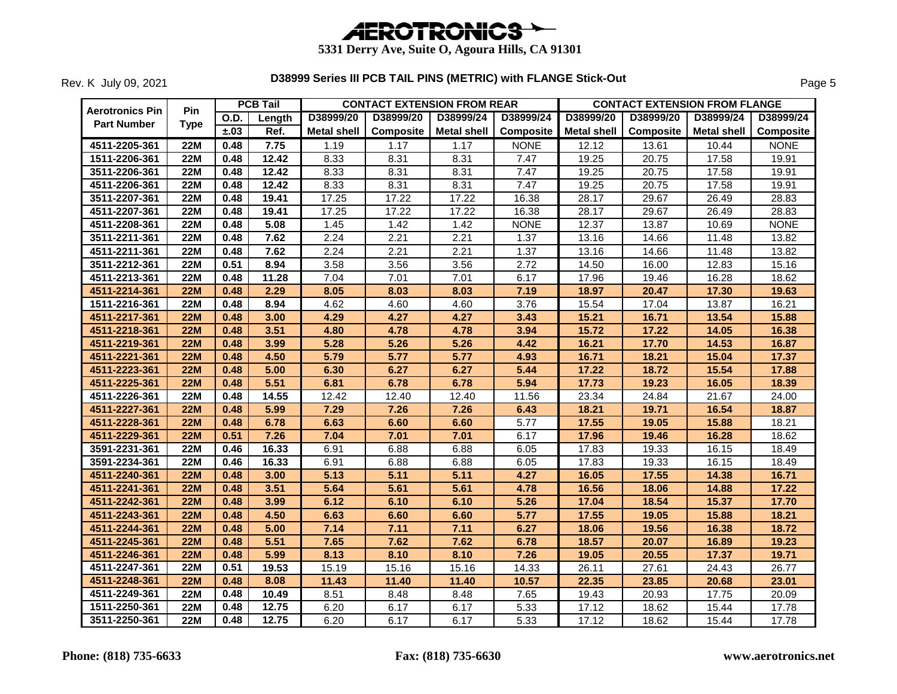

| <b>Aerotronics Pin</b> | <b>Pin</b>  |      | <b>PCB Tail</b> |                    | <b>CONTACT EXTENSION FROM REAR</b> |                    |                  |                    | <b>CONTACT EXTENSION FROM FLANGE</b> |             |                  |
|------------------------|-------------|------|-----------------|--------------------|------------------------------------|--------------------|------------------|--------------------|--------------------------------------|-------------|------------------|
| <b>Part Number</b>     | <b>Type</b> | O.D. | Length          | D38999/20          | D38999/20                          | D38999/24          | D38999/24        | D38999/20          | D38999/20                            | D38999/24   | D38999/24        |
|                        |             | ±.03 | Ref.            | <b>Metal shell</b> | Composite                          | <b>Metal shell</b> | <b>Composite</b> | <b>Metal shell</b> | Composite                            | Metal shell | <b>Composite</b> |
| 4511-2205-361          | <b>22M</b>  | 0.48 | 7.75            | 1.19               | 1.17                               | 1.17               | <b>NONE</b>      | 12.12              | 13.61                                | 10.44       | <b>NONE</b>      |
| 1511-2206-361          | <b>22M</b>  | 0.48 | 12.42           | 8.33               | 8.31                               | 8.31               | 7.47             | 19.25              | 20.75                                | 17.58       | 19.91            |
| 3511-2206-361          | 22M         | 0.48 | 12.42           | 8.33               | 8.31                               | 8.31               | 7.47             | 19.25              | 20.75                                | 17.58       | 19.91            |
| 4511-2206-361          | <b>22M</b>  | 0.48 | 12.42           | 8.33               | 8.31                               | 8.31               | 7.47             | 19.25              | 20.75                                | 17.58       | 19.91            |
| 3511-2207-361          | <b>22M</b>  | 0.48 | 19.41           | 17.25              | 17.22                              | 17.22              | 16.38            | 28.17              | 29.67                                | 26.49       | 28.83            |
| 4511-2207-361          | 22M         | 0.48 | 19.41           | 17.25              | 17.22                              | 17.22              | 16.38            | 28.17              | 29.67                                | 26.49       | 28.83            |
| 4511-2208-361          | <b>22M</b>  | 0.48 | 5.08            | 1.45               | 1.42                               | 1.42               | <b>NONE</b>      | 12.37              | 13.87                                | 10.69       | <b>NONE</b>      |
| 3511-2211-361          | <b>22M</b>  | 0.48 | 7.62            | 2.24               | 2.21                               | 2.21               | 1.37             | 13.16              | 14.66                                | 11.48       | 13.82            |
| 4511-2211-361          | <b>22M</b>  | 0.48 | 7.62            | 2.24               | 2.21                               | 2.21               | 1.37             | 13.16              | 14.66                                | 11.48       | 13.82            |
| 3511-2212-361          | <b>22M</b>  | 0.51 | 8.94            | 3.58               | 3.56                               | 3.56               | 2.72             | 14.50              | 16.00                                | 12.83       | 15.16            |
| 4511-2213-361          | <b>22M</b>  | 0.48 | 11.28           | 7.04               | 7.01                               | 7.01               | 6.17             | 17.96              | 19.46                                | 16.28       | 18.62            |
| 4511-2214-361          | <b>22M</b>  | 0.48 | 2.29            | 8.05               | 8.03                               | 8.03               | 7.19             | 18.97              | 20.47                                | 17.30       | 19.63            |
| 1511-2216-361          | 22M         | 0.48 | 8.94            | 4.62               | 4.60                               | 4.60               | 3.76             | 15.54              | 17.04                                | 13.87       | 16.21            |
| 4511-2217-361          | <b>22M</b>  | 0.48 | 3.00            | 4.29               | 4.27                               | 4.27               | 3.43             | 15.21              | 16.71                                | 13.54       | 15.88            |
| 4511-2218-361          | <b>22M</b>  | 0.48 | 3.51            | 4.80               | 4.78                               | 4.78               | 3.94             | 15.72              | 17.22                                | 14.05       | 16.38            |
| 4511-2219-361          | <b>22M</b>  | 0.48 | 3.99            | 5.28               | 5.26                               | 5.26               | 4.42             | 16.21              | 17.70                                | 14.53       | 16.87            |
| 4511-2221-361          | <b>22M</b>  | 0.48 | 4.50            | 5.79               | 5.77                               | 5.77               | 4.93             | 16.71              | 18.21                                | 15.04       | 17.37            |
| 4511-2223-361          | <b>22M</b>  | 0.48 | 5.00            | 6.30               | 6.27                               | 6.27               | 5.44             | 17.22              | 18.72                                | 15.54       | 17.88            |
| 4511-2225-361          | <b>22M</b>  | 0.48 | 5.51            | 6.81               | 6.78                               | 6.78               | 5.94             | 17.73              | 19.23                                | 16.05       | 18.39            |
| 4511-2226-361          | <b>22M</b>  | 0.48 | 14.55           | 12.42              | 12.40                              | 12.40              | 11.56            | 23.34              | 24.84                                | 21.67       | 24.00            |
| 4511-2227-361          | <b>22M</b>  | 0.48 | 5.99            | 7.29               | 7.26                               | 7.26               | 6.43             | 18.21              | 19.71                                | 16.54       | 18.87            |
| 4511-2228-361          | <b>22M</b>  | 0.48 | 6.78            | 6.63               | 6.60                               | 6.60               | 5.77             | 17.55              | 19.05                                | 15.88       | 18.21            |
| 4511-2229-361          | <b>22M</b>  | 0.51 | 7.26            | 7.04               | 7.01                               | 7.01               | 6.17             | 17.96              | 19.46                                | 16.28       | 18.62            |
| 3591-2231-361          | <b>22M</b>  | 0.46 | 16.33           | 6.91               | 6.88                               | 6.88               | 6.05             | 17.83              | 19.33                                | 16.15       | 18.49            |
| 3591-2234-361          | <b>22M</b>  | 0.46 | 16.33           | 6.91               | 6.88                               | 6.88               | 6.05             | 17.83              | 19.33                                | 16.15       | 18.49            |
| 4511-2240-361          | <b>22M</b>  | 0.48 | 3.00            | 5.13               | 5.11                               | 5.11               | 4.27             | 16.05              | 17.55                                | 14.38       | 16.71            |
| 4511-2241-361          | <b>22M</b>  | 0.48 | 3.51            | 5.64               | 5.61                               | 5.61               | 4.78             | 16.56              | 18.06                                | 14.88       | 17.22            |
| 4511-2242-361          | <b>22M</b>  | 0.48 | 3.99            | 6.12               | 6.10                               | 6.10               | 5.26             | 17.04              | 18.54                                | 15.37       | 17.70            |
| 4511-2243-361          | <b>22M</b>  | 0.48 | 4.50            | 6.63               | 6.60                               | 6.60               | 5.77             | 17.55              | 19.05                                | 15.88       | 18.21            |
| 4511-2244-361          | <b>22M</b>  | 0.48 | 5.00            | 7.14               | 7.11                               | 7.11               | 6.27             | 18.06              | 19.56                                | 16.38       | 18.72            |
| 4511-2245-361          | <b>22M</b>  | 0.48 | 5.51            | 7.65               | 7.62                               | 7.62               | 6.78             | 18.57              | 20.07                                | 16.89       | 19.23            |
| 4511-2246-361          | <b>22M</b>  | 0.48 | 5.99            | 8.13               | 8.10                               | 8.10               | 7.26             | 19.05              | 20.55                                | 17.37       | 19.71            |
| 4511-2247-361          | <b>22M</b>  | 0.51 | 19.53           | 15.19              | 15.16                              | 15.16              | 14.33            | 26.11              | 27.61                                | 24.43       | 26.77            |
| 4511-2248-361          | <b>22M</b>  | 0.48 | 8.08            | 11.43              | 11.40                              | 11.40              | 10.57            | 22.35              | 23.85                                | 20.68       | 23.01            |
| 4511-2249-361          | <b>22M</b>  | 0.48 | 10.49           | 8.51               | 8.48                               | 8.48               | 7.65             | 19.43              | 20.93                                | 17.75       | 20.09            |
| 1511-2250-361          | <b>22M</b>  | 0.48 | 12.75           | 6.20               | 6.17                               | 6.17               | 5.33             | 17.12              | 18.62                                | 15.44       | 17.78            |
| 3511-2250-361          | 22M         | 0.48 | 12.75           | 6.20               | 6.17                               | 6.17               | 5.33             | 17.12              | 18.62                                | 15.44       | 17.78            |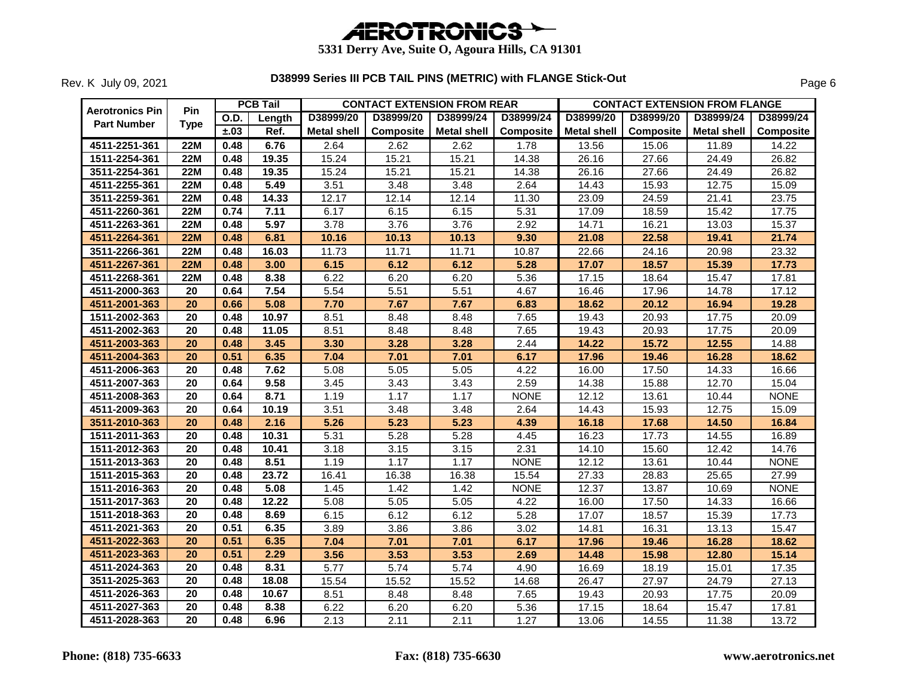

| Aerotronics Pin    | <b>Pin</b>      |      | <b>PCB Tail</b> |                    |           | <b>CONTACT EXTENSION FROM REAR</b> |             | <b>CONTACT EXTENSION FROM FLANGE</b> |                  |             |                  |  |
|--------------------|-----------------|------|-----------------|--------------------|-----------|------------------------------------|-------------|--------------------------------------|------------------|-------------|------------------|--|
| <b>Part Number</b> | <b>Type</b>     | O.D. | Length          | D38999/20          | D38999/20 | D38999/24                          | D38999/24   | D38999/20                            | D38999/20        | D38999/24   | D38999/24        |  |
|                    |                 | ±.03 | Ref.            | <b>Metal shell</b> | Composite | <b>Metal shell</b>                 | Composite   | <b>Metal shell</b>                   | <b>Composite</b> | Metal shell | <b>Composite</b> |  |
| 4511-2251-361      | <b>22M</b>      | 0.48 | 6.76            | 2.64               | 2.62      | 2.62                               | 1.78        | 13.56                                | 15.06            | 11.89       | 14.22            |  |
| 1511-2254-361      | <b>22M</b>      | 0.48 | 19.35           | 15.24              | 15.21     | 15.21                              | 14.38       | 26.16                                | 27.66            | 24.49       | 26.82            |  |
| 3511-2254-361      | <b>22M</b>      | 0.48 | 19.35           | 15.24              | 15.21     | 15.21                              | 14.38       | 26.16                                | 27.66            | 24.49       | 26.82            |  |
| 4511-2255-361      | <b>22M</b>      | 0.48 | 5.49            | 3.51               | 3.48      | 3.48                               | 2.64        | 14.43                                | 15.93            | 12.75       | 15.09            |  |
| 3511-2259-361      | <b>22M</b>      | 0.48 | 14.33           | 12.17              | 12.14     | 12.14                              | 11.30       | 23.09                                | 24.59            | 21.41       | 23.75            |  |
| 4511-2260-361      | <b>22M</b>      | 0.74 | 7.11            | 6.17               | 6.15      | 6.15                               | 5.31        | 17.09                                | 18.59            | 15.42       | 17.75            |  |
| 4511-2263-361      | <b>22M</b>      | 0.48 | 5.97            | 3.78               | 3.76      | 3.76                               | 2.92        | 14.71                                | 16.21            | 13.03       | 15.37            |  |
| 4511-2264-361      | <b>22M</b>      | 0.48 | 6.81            | 10.16              | 10.13     | 10.13                              | 9.30        | 21.08                                | 22.58            | 19.41       | 21.74            |  |
| 3511-2266-361      | <b>22M</b>      | 0.48 | 16.03           | 11.73              | 11.71     | 11.71                              | 10.87       | 22.66                                | 24.16            | 20.98       | 23.32            |  |
| 4511-2267-361      | <b>22M</b>      | 0.48 | 3.00            | 6.15               | 6.12      | 6.12                               | 5.28        | 17.07                                | 18.57            | 15.39       | 17.73            |  |
| 4511-2268-361      | <b>22M</b>      | 0.48 | 8.38            | 6.22               | 6.20      | 6.20                               | 5.36        | 17.15                                | 18.64            | 15.47       | 17.81            |  |
| 4511-2000-363      | 20              | 0.64 | 7.54            | 5.54               | 5.51      | 5.51                               | 4.67        | 16.46                                | 17.96            | 14.78       | 17.12            |  |
| 4511-2001-363      | 20              | 0.66 | 5.08            | 7.70               | 7.67      | 7.67                               | 6.83        | 18.62                                | 20.12            | 16.94       | 19.28            |  |
| 1511-2002-363      | 20              | 0.48 | 10.97           | 8.51               | 8.48      | 8.48                               | 7.65        | 19.43                                | 20.93            | 17.75       | 20.09            |  |
| 4511-2002-363      | 20              | 0.48 | 11.05           | 8.51               | 8.48      | 8.48                               | 7.65        | 19.43                                | 20.93            | 17.75       | 20.09            |  |
| 4511-2003-363      | 20              | 0.48 | 3.45            | 3.30               | 3.28      | 3.28                               | 2.44        | 14.22                                | 15.72            | 12.55       | 14.88            |  |
| 4511-2004-363      | $\overline{20}$ | 0.51 | 6.35            | 7.04               | 7.01      | 7.01                               | 6.17        | 17.96                                | 19.46            | 16.28       | 18.62            |  |
| 4511-2006-363      | 20              | 0.48 | 7.62            | 5.08               | 5.05      | 5.05                               | 4.22        | 16.00                                | 17.50            | 14.33       | 16.66            |  |
| 4511-2007-363      | 20              | 0.64 | 9.58            | 3.45               | 3.43      | 3.43                               | 2.59        | 14.38                                | 15.88            | 12.70       | 15.04            |  |
| 4511-2008-363      | $\overline{20}$ | 0.64 | 8.71            | 1.19               | 1.17      | 1.17                               | <b>NONE</b> | 12.12                                | 13.61            | 10.44       | <b>NONE</b>      |  |
| 4511-2009-363      | 20              | 0.64 | 10.19           | 3.51               | 3.48      | 3.48                               | 2.64        | 14.43                                | 15.93            | 12.75       | 15.09            |  |
| 3511-2010-363      | $\overline{20}$ | 0.48 | 2.16            | 5.26               | 5.23      | 5.23                               | 4.39        | 16.18                                | 17.68            | 14.50       | 16.84            |  |
| 1511-2011-363      | 20              | 0.48 | 10.31           | 5.31               | 5.28      | 5.28                               | 4.45        | 16.23                                | 17.73            | 14.55       | 16.89            |  |
| 1511-2012-363      | 20              | 0.48 | 10.41           | 3.18               | 3.15      | 3.15                               | 2.31        | 14.10                                | 15.60            | 12.42       | 14.76            |  |
| 1511-2013-363      | 20              | 0.48 | 8.51            | 1.19               | 1.17      | 1.17                               | <b>NONE</b> | 12.12                                | 13.61            | 10.44       | <b>NONE</b>      |  |
| 1511-2015-363      | 20              | 0.48 | 23.72           | 16.41              | 16.38     | 16.38                              | 15.54       | 27.33                                | 28.83            | 25.65       | 27.99            |  |
| 1511-2016-363      | 20              | 0.48 | 5.08            | 1.45               | 1.42      | 1.42                               | <b>NONE</b> | 12.37                                | 13.87            | 10.69       | <b>NONE</b>      |  |
| 1511-2017-363      | $\overline{20}$ | 0.48 | 12.22           | 5.08               | 5.05      | 5.05                               | 4.22        | 16.00                                | 17.50            | 14.33       | 16.66            |  |
| 1511-2018-363      | $\overline{20}$ | 0.48 | 8.69            | 6.15               | 6.12      | 6.12                               | 5.28        | 17.07                                | 18.57            | 15.39       | 17.73            |  |
| 4511-2021-363      | 20              | 0.51 | 6.35            | 3.89               | 3.86      | 3.86                               | 3.02        | 14.81                                | 16.31            | 13.13       | 15.47            |  |
| 4511-2022-363      | 20              | 0.51 | 6.35            | 7.04               | 7.01      | 7.01                               | 6.17        | 17.96                                | 19.46            | 16.28       | 18.62            |  |
| 4511-2023-363      | $\overline{20}$ | 0.51 | 2.29            | 3.56               | 3.53      | 3.53                               | 2.69        | 14.48                                | 15.98            | 12.80       | 15.14            |  |
| 4511-2024-363      | 20              | 0.48 | 8.31            | 5.77               | 5.74      | 5.74                               | 4.90        | 16.69                                | 18.19            | 15.01       | 17.35            |  |
| 3511-2025-363      | 20              | 0.48 | 18.08           | 15.54              | 15.52     | 15.52                              | 14.68       | 26.47                                | 27.97            | 24.79       | 27.13            |  |
| 4511-2026-363      | $\overline{20}$ | 0.48 | 10.67           | 8.51               | 8.48      | 8.48                               | 7.65        | 19.43                                | 20.93            | 17.75       | 20.09            |  |
| 4511-2027-363      | 20              | 0.48 | 8.38            | 6.22               | 6.20      | 6.20                               | 5.36        | 17.15                                | 18.64            | 15.47       | 17.81            |  |
| 4511-2028-363      | $\overline{20}$ | 0.48 | 6.96            | 2.13               | 2.11      | 2.11                               | 1.27        | 13.06                                | 14.55            | 11.38       | 13.72            |  |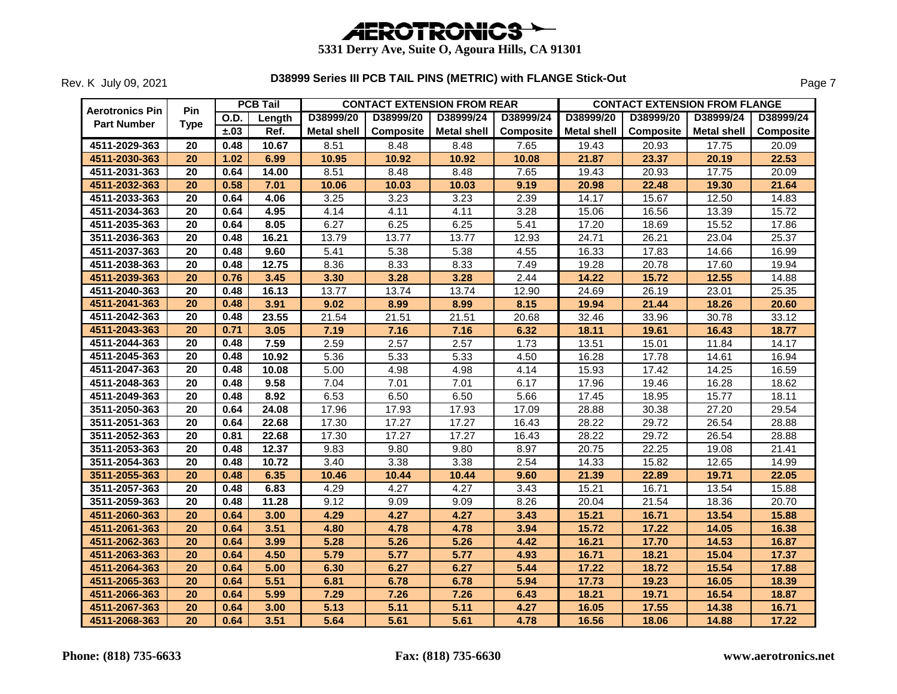

| <b>Aerotronics Pin</b> | <b>Pin</b>      |      | <b>PCB Tail</b> |                    | <b>CONTACT EXTENSION FROM REAR</b> |                    |                  |                    |           | <b>CONTACT EXTENSION FROM FLANGE</b> |                  |
|------------------------|-----------------|------|-----------------|--------------------|------------------------------------|--------------------|------------------|--------------------|-----------|--------------------------------------|------------------|
| <b>Part Number</b>     | <b>Type</b>     | O.D. | Length          | D38999/20          | D38999/20                          | D38999/24          | D38999/24        | D38999/20          | D38999/20 | D38999/24                            | D38999/24        |
|                        |                 | ±.03 | Ref.            | <b>Metal shell</b> | Composite                          | <b>Metal shell</b> | <b>Composite</b> | <b>Metal shell</b> | Composite | Metal shell                          | <b>Composite</b> |
| 4511-2029-363          | 20              | 0.48 | 10.67           | 8.51               | 8.48                               | 8.48               | 7.65             | 19.43              | 20.93     | 17.75                                | 20.09            |
| 4511-2030-363          | 20              | 1.02 | 6.99            | 10.95              | 10.92                              | 10.92              | 10.08            | 21.87              | 23.37     | 20.19                                | 22.53            |
| 4511-2031-363          | 20              | 0.64 | 14.00           | 8.51               | 8.48                               | 8.48               | 7.65             | 19.43              | 20.93     | 17.75                                | 20.09            |
| 4511-2032-363          | 20              | 0.58 | 7.01            | 10.06              | 10.03                              | 10.03              | 9.19             | 20.98              | 22.48     | 19.30                                | 21.64            |
| 4511-2033-363          | 20              | 0.64 | 4.06            | 3.25               | 3.23                               | 3.23               | 2.39             | 14.17              | 15.67     | 12.50                                | 14.83            |
| 4511-2034-363          | 20              | 0.64 | 4.95            | 4.14               | 4.11                               | 4.11               | 3.28             | 15.06              | 16.56     | 13.39                                | 15.72            |
| 4511-2035-363          | 20              | 0.64 | 8.05            | 6.27               | 6.25                               | 6.25               | 5.41             | 17.20              | 18.69     | 15.52                                | 17.86            |
| 3511-2036-363          | 20              | 0.48 | 16.21           | 13.79              | 13.77                              | 13.77              | 12.93            | 24.71              | 26.21     | 23.04                                | 25.37            |
| 4511-2037-363          | 20              | 0.48 | 9.60            | 5.41               | 5.38                               | 5.38               | 4.55             | 16.33              | 17.83     | 14.66                                | 16.99            |
| 4511-2038-363          | 20              | 0.48 | 12.75           | 8.36               | 8.33                               | 8.33               | 7.49             | 19.28              | 20.78     | 17.60                                | 19.94            |
| 4511-2039-363          | 20              | 0.76 | 3.45            | 3.30               | 3.28                               | 3.28               | 2.44             | 14.22              | 15.72     | 12.55                                | 14.88            |
| 4511-2040-363          | 20              | 0.48 | 16.13           | 13.77              | 13.74                              | 13.74              | 12.90            | 24.69              | 26.19     | 23.01                                | 25.35            |
| 4511-2041-363          | 20              | 0.48 | 3.91            | 9.02               | 8.99                               | 8.99               | 8.15             | 19.94              | 21.44     | 18.26                                | 20.60            |
| 4511-2042-363          | 20              | 0.48 | 23.55           | 21.54              | 21.51                              | 21.51              | 20.68            | 32.46              | 33.96     | 30.78                                | 33.12            |
| 4511-2043-363          | $\overline{20}$ | 0.71 | 3.05            | 7.19               | 7.16                               | 7.16               | 6.32             | 18.11              | 19.61     | 16.43                                | 18.77            |
| 4511-2044-363          | 20              | 0.48 | 7.59            | 2.59               | 2.57                               | 2.57               | 1.73             | 13.51              | 15.01     | 11.84                                | 14.17            |
| 4511-2045-363          | 20              | 0.48 | 10.92           | 5.36               | 5.33                               | 5.33               | 4.50             | 16.28              | 17.78     | 14.61                                | 16.94            |
| 4511-2047-363          | 20              | 0.48 | 10.08           | 5.00               | 4.98                               | 4.98               | 4.14             | 15.93              | 17.42     | 14.25                                | 16.59            |
| 4511-2048-363          | 20              | 0.48 | 9.58            | 7.04               | 7.01                               | 7.01               | 6.17             | 17.96              | 19.46     | 16.28                                | 18.62            |
| 4511-2049-363          | 20              | 0.48 | 8.92            | 6.53               | 6.50                               | 6.50               | 5.66             | 17.45              | 18.95     | 15.77                                | 18.11            |
| 3511-2050-363          | 20              | 0.64 | 24.08           | 17.96              | 17.93                              | 17.93              | 17.09            | 28.88              | 30.38     | 27.20                                | 29.54            |
| 3511-2051-363          | 20              | 0.64 | 22.68           | 17.30              | 17.27                              | 17.27              | 16.43            | 28.22              | 29.72     | 26.54                                | 28.88            |
| 3511-2052-363          | 20              | 0.81 | 22.68           | 17.30              | 17.27                              | 17.27              | 16.43            | 28.22              | 29.72     | 26.54                                | 28.88            |
| 3511-2053-363          | 20              | 0.48 | 12.37           | 9.83               | 9.80                               | 9.80               | 8.97             | 20.75              | 22.25     | 19.08                                | 21.41            |
| 3511-2054-363          | 20              | 0.48 | 10.72           | 3.40               | 3.38                               | 3.38               | 2.54             | 14.33              | 15.82     | 12.65                                | 14.99            |
| 3511-2055-363          | 20              | 0.48 | 6.35            | 10.46              | 10.44                              | 10.44              | 9.60             | 21.39              | 22.89     | 19.71                                | 22.05            |
| 3511-2057-363          | 20              | 0.48 | 6.83            | 4.29               | 4.27                               | 4.27               | 3.43             | 15.21              | 16.71     | 13.54                                | 15.88            |
| 3511-2059-363          | 20              | 0.48 | 11.28           | 9.12               | 9.09                               | 9.09               | 8.26             | 20.04              | 21.54     | 18.36                                | 20.70            |
| 4511-2060-363          | 20              | 0.64 | 3.00            | 4.29               | 4.27                               | 4.27               | 3.43             | 15.21              | 16.71     | 13.54                                | 15.88            |
| 4511-2061-363          | 20              | 0.64 | 3.51            | 4.80               | 4.78                               | 4.78               | 3.94             | 15.72              | 17.22     | 14.05                                | 16.38            |
| 4511-2062-363          | 20              | 0.64 | 3.99            | 5.28               | 5.26                               | 5.26               | 4.42             | 16.21              | 17.70     | 14.53                                | 16.87            |
| 4511-2063-363          | 20              | 0.64 | 4.50            | 5.79               | 5.77                               | 5.77               | 4.93             | 16.71              | 18.21     | 15.04                                | 17.37            |
| 4511-2064-363          | 20              | 0.64 | 5.00            | 6.30               | 6.27                               | 6.27               | 5.44             | 17.22              | 18.72     | 15.54                                | 17.88            |
| 4511-2065-363          | 20              | 0.64 | 5.51            | 6.81               | 6.78                               | 6.78               | 5.94             | 17.73              | 19.23     | 16.05                                | 18.39            |
| 4511-2066-363          | 20              | 0.64 | 5.99            | 7.29               | 7.26                               | 7.26               | 6.43             | 18.21              | 19.71     | 16.54                                | 18.87            |
| 4511-2067-363          | $\overline{20}$ | 0.64 | 3.00            | 5.13               | 5.11                               | 5.11               | 4.27             | 16.05              | 17.55     | 14.38                                | 16.71            |
| 4511-2068-363          | 20              | 0.64 | 3.51            | 5.64               | 5.61                               | 5.61               | 4.78             | 16.56              | 18.06     | 14.88                                | 17.22            |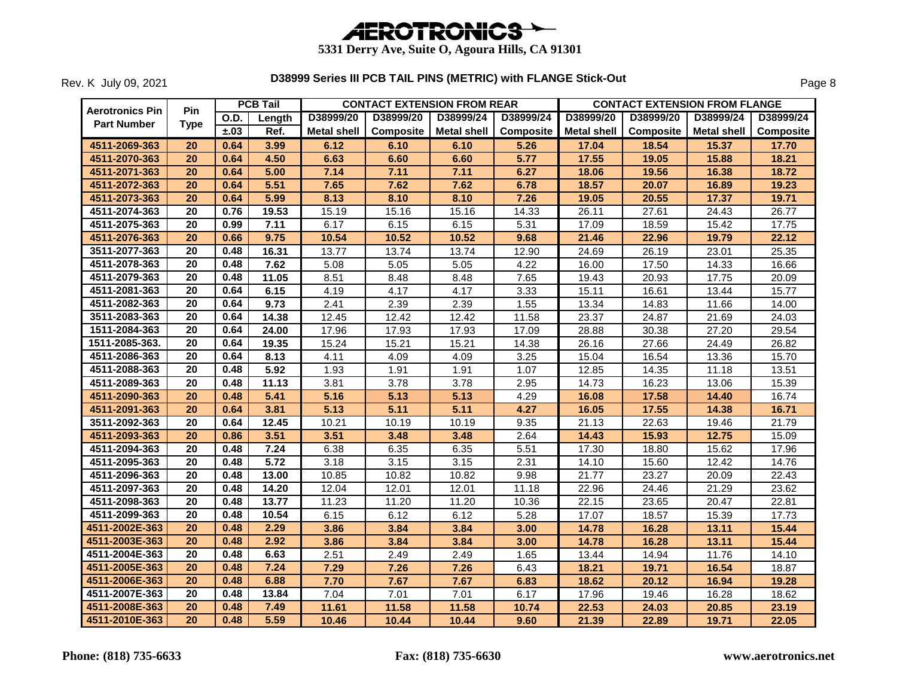

|                        |                 |             | <b>PCB Tail</b> |                    |                  | <b>CONTACT EXTENSION FROM REAR</b> |           |                    | <b>CONTACT EXTENSION FROM FLANGE</b> |                    |                  |
|------------------------|-----------------|-------------|-----------------|--------------------|------------------|------------------------------------|-----------|--------------------|--------------------------------------|--------------------|------------------|
| <b>Aerotronics Pin</b> | <b>Pin</b>      | <b>O.D.</b> | Length          | D38999/20          | D38999/20        | D38999/24                          | D38999/24 | D38999/20          | D38999/20                            | D38999/24          | D38999/24        |
| <b>Part Number</b>     | Type            | ±.03        | Ref.            | <b>Metal shell</b> | <b>Composite</b> | <b>Metal shell</b>                 | Composite | <b>Metal shell</b> | Composite                            | Metal shell        | <b>Composite</b> |
| 4511-2069-363          | 20              | 0.64        | 3.99            | 6.12               | 6.10             | 6.10                               | 5.26      | 17.04              | 18.54                                | 15.37              | 17.70            |
| 4511-2070-363          | 20              | 0.64        | 4.50            | 6.63               | 6.60             | 6.60                               | 5.77      | 17.55              | 19.05                                | 15.88              | 18.21            |
| 4511-2071-363          | 20              | 0.64        | 5.00            | 7.14               | 7.11             | 7.11                               | 6.27      | 18.06              | 19.56                                | 16.38              | 18.72            |
| 4511-2072-363          | 20              | 0.64        | 5.51            | 7.65               | 7.62             | 7.62                               | 6.78      | 18.57              | 20.07                                | 16.89              | 19.23            |
| 4511-2073-363          | 20              | 0.64        | 5.99            | 8.13               | 8.10             | 8.10                               | 7.26      | 19.05              | 20.55                                | 17.37              | 19.71            |
| 4511-2074-363          | 20              | 0.76        | 19.53           | 15.19              | 15.16            | 15.16                              | 14.33     | 26.11              | 27.61                                | 24.43              | 26.77            |
| 4511-2075-363          | 20              | 0.99        | 7.11            | 6.17               | 6.15             | 6.15                               | 5.31      | 17.09              | 18.59                                | 15.42              | 17.75            |
| 4511-2076-363          | 20              | 0.66        | 9.75            | 10.54              | 10.52            | 10.52                              | 9.68      | 21.46              | 22.96                                | 19.79              | 22.12            |
| 3511-2077-363          | 20              | 0.48        | 16.31           | 13.77              | 13.74            | 13.74                              | 12.90     | 24.69              | 26.19                                | 23.01              | 25.35            |
| 4511-2078-363          | 20              | 0.48        | 7.62            | 5.08               | 5.05             | 5.05                               | 4.22      | 16.00              | 17.50                                | 14.33              | 16.66            |
| 4511-2079-363          | 20              | 0.48        | 11.05           | 8.51               | 8.48             | 8.48                               | 7.65      | 19.43              | 20.93                                | 17.75              | 20.09            |
| 4511-2081-363          | 20              | 0.64        | 6.15            | 4.19               | 4.17             | 4.17                               | 3.33      | 15.11              | 16.61                                | 13.44              | 15.77            |
| 4511-2082-363          | 20              | 0.64        | 9.73            | 2.41               | 2.39             | 2.39                               | 1.55      | 13.34              | 14.83                                | 11.66              | 14.00            |
| 3511-2083-363          | 20              | 0.64        | 14.38           | 12.45              | 12.42            | 12.42                              | 11.58     | 23.37              | 24.87                                | 21.69              | 24.03            |
| 1511-2084-363          | 20              | 0.64        | 24.00           | 17.96              | 17.93            | 17.93                              | 17.09     | 28.88              | 30.38                                | $\overline{27.20}$ | 29.54            |
| 1511-2085-363.         | 20              | 0.64        | 19.35           | 15.24              | 15.21            | 15.21                              | 14.38     | 26.16              | 27.66                                | 24.49              | 26.82            |
| 4511-2086-363          | 20              | 0.64        | 8.13            | 4.11               | 4.09             | 4.09                               | 3.25      | 15.04              | 16.54                                | 13.36              | 15.70            |
| 4511-2088-363          | 20              | 0.48        | 5.92            | 1.93               | 1.91             | 1.91                               | 1.07      | 12.85              | 14.35                                | 11.18              | 13.51            |
| 4511-2089-363          | 20              | 0.48        | 11.13           | 3.81               | 3.78             | 3.78                               | 2.95      | 14.73              | 16.23                                | 13.06              | 15.39            |
| 4511-2090-363          | 20              | 0.48        | 5.41            | 5.16               | 5.13             | 5.13                               | 4.29      | 16.08              | 17.58                                | 14.40              | 16.74            |
| 4511-2091-363          | 20              | 0.64        | 3.81            | 5.13               | 5.11             | 5.11                               | 4.27      | 16.05              | 17.55                                | 14.38              | 16.71            |
| 3511-2092-363          | 20              | 0.64        | 12.45           | 10.21              | 10.19            | 10.19                              | 9.35      | 21.13              | 22.63                                | 19.46              | 21.79            |
| 4511-2093-363          | 20              | 0.86        | 3.51            | 3.51               | 3.48             | 3.48                               | 2.64      | 14.43              | 15.93                                | 12.75              | 15.09            |
| 4511-2094-363          | 20              | 0.48        | 7.24            | 6.38               | 6.35             | 6.35                               | 5.51      | 17.30              | 18.80                                | 15.62              | 17.96            |
| 4511-2095-363          | 20              | 0.48        | 5.72            | 3.18               | 3.15             | 3.15                               | 2.31      | 14.10              | 15.60                                | 12.42              | 14.76            |
| 4511-2096-363          | 20              | 0.48        | 13.00           | 10.85              | 10.82            | 10.82                              | 9.98      | $\overline{2}1.77$ | 23.27                                | 20.09              | 22.43            |
| 4511-2097-363          | 20              | 0.48        | 14.20           | 12.04              | 12.01            | 12.01                              | 11.18     | 22.96              | 24.46                                | 21.29              | 23.62            |
| 4511-2098-363          | 20              | 0.48        | 13.77           | 11.23              | 11.20            | 11.20                              | 10.36     | 22.15              | 23.65                                | 20.47              | 22.81            |
| 4511-2099-363          | 20              | 0.48        | 10.54           | 6.15               | 6.12             | 6.12                               | 5.28      | 17.07              | 18.57                                | 15.39              | 17.73            |
| 4511-2002E-363         | 20              | 0.48        | 2.29            | 3.86               | 3.84             | 3.84                               | 3.00      | 14.78              | 16.28                                | 13.11              | 15.44            |
| 4511-2003E-363         | 20              | 0.48        | 2.92            | 3.86               | 3.84             | 3.84                               | 3.00      | 14.78              | 16.28                                | 13.11              | 15.44            |
| 4511-2004E-363         | 20              | 0.48        | 6.63            | 2.51               | 2.49             | 2.49                               | 1.65      | 13.44              | 14.94                                | 11.76              | 14.10            |
| 4511-2005E-363         | 20              | 0.48        | 7.24            | 7.29               | 7.26             | 7.26                               | 6.43      | 18.21              | 19.71                                | 16.54              | 18.87            |
| 4511-2006E-363         | 20              | 0.48        | 6.88            | 7.70               | 7.67             | 7.67                               | 6.83      | 18.62              | 20.12                                | 16.94              | 19.28            |
| 4511-2007E-363         | 20              | 0.48        | 13.84           | 7.04               | 7.01             | 7.01                               | 6.17      | 17.96              | 19.46                                | 16.28              | 18.62            |
| 4511-2008E-363         | 20              | 0.48        | 7.49            | 11.61              | 11.58            | 11.58                              | 10.74     | 22.53              | 24.03                                | 20.85              | 23.19            |
| 4511-2010E-363         | $\overline{20}$ | 0.48        | 5.59            | 10.46              | 10.44            | 10.44                              | 9.60      | 21.39              | 22.89                                | 19.71              | 22.05            |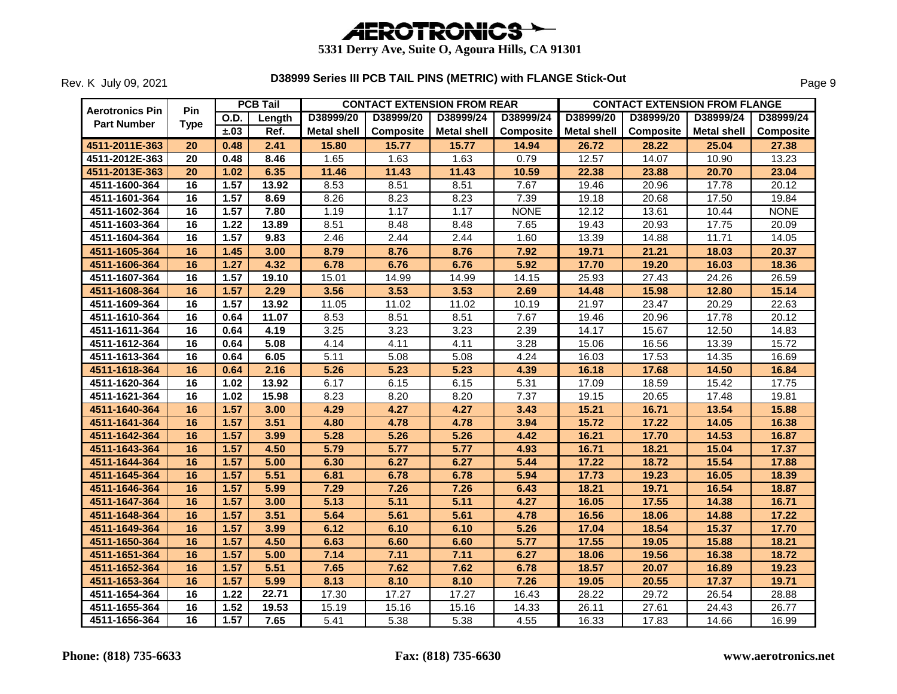

| <b>Aerotronics Pin</b> | <b>Pin</b>  |      | <b>PCB Tail</b> |                    | <b>CONTACT EXTENSION FROM REAR</b> |                    |             | <b>CONTACT EXTENSION FROM FLANGE</b> |                  |             |                  |
|------------------------|-------------|------|-----------------|--------------------|------------------------------------|--------------------|-------------|--------------------------------------|------------------|-------------|------------------|
| <b>Part Number</b>     | <b>Type</b> | O.D. | Length          | D38999/20          | D38999/20                          | D38999/24          | D38999/24   | D38999/20                            | D38999/20        | D38999/24   | D38999/24        |
|                        |             | ±.03 | Ref.            | <b>Metal shell</b> | <b>Composite</b>                   | <b>Metal shell</b> | Composite   | <b>Metal shell</b>                   | <b>Composite</b> | Metal shell | <b>Composite</b> |
| 4511-2011E-363         | 20          | 0.48 | 2.41            | 15.80              | 15.77                              | 15.77              | 14.94       | 26.72                                | 28.22            | 25.04       | 27.38            |
| 4511-2012E-363         | 20          | 0.48 | 8.46            | 1.65               | 1.63                               | 1.63               | 0.79        | 12.57                                | 14.07            | 10.90       | 13.23            |
| 4511-2013E-363         | 20          | 1.02 | 6.35            | 11.46              | 11.43                              | 11.43              | 10.59       | 22.38                                | 23.88            | 20.70       | 23.04            |
| 4511-1600-364          | 16          | 1.57 | 13.92           | 8.53               | 8.51                               | 8.51               | 7.67        | 19.46                                | 20.96            | 17.78       | 20.12            |
| 4511-1601-364          | 16          | 1.57 | 8.69            | 8.26               | 8.23                               | 8.23               | 7.39        | 19.18                                | 20.68            | 17.50       | 19.84            |
| 4511-1602-364          | 16          | 1.57 | 7.80            | 1.19               | 1.17                               | 1.17               | <b>NONE</b> | 12.12                                | 13.61            | 10.44       | <b>NONE</b>      |
| 4511-1603-364          | 16          | 1.22 | 13.89           | 8.51               | 8.48                               | 8.48               | 7.65        | 19.43                                | 20.93            | 17.75       | 20.09            |
| 4511-1604-364          | 16          | 1.57 | 9.83            | 2.46               | 2.44                               | 2.44               | 1.60        | 13.39                                | 14.88            | 11.71       | 14.05            |
| 4511-1605-364          | 16          | 1.45 | 3.00            | 8.79               | 8.76                               | 8.76               | 7.92        | 19.71                                | 21.21            | 18.03       | 20.37            |
| 4511-1606-364          | 16          | 1.27 | 4.32            | 6.78               | 6.76                               | 6.76               | 5.92        | 17.70                                | 19.20            | 16.03       | 18.36            |
| 4511-1607-364          | 16          | 1.57 | 19.10           | 15.01              | 14.99                              | 14.99              | 14.15       | 25.93                                | 27.43            | 24.26       | 26.59            |
| 4511-1608-364          | 16          | 1.57 | 2.29            | 3.56               | 3.53                               | 3.53               | 2.69        | 14.48                                | 15.98            | 12.80       | 15.14            |
| 4511-1609-364          | 16          | 1.57 | 13.92           | 11.05              | 11.02                              | 11.02              | 10.19       | 21.97                                | 23.47            | 20.29       | 22.63            |
| 4511-1610-364          | 16          | 0.64 | 11.07           | 8.53               | 8.51                               | 8.51               | 7.67        | 19.46                                | 20.96            | 17.78       | 20.12            |
| 4511-1611-364          | 16          | 0.64 | 4.19            | 3.25               | 3.23                               | 3.23               | 2.39        | 14.17                                | 15.67            | 12.50       | 14.83            |
| 4511-1612-364          | 16          | 0.64 | 5.08            | 4.14               | 4.11                               | 4.11               | 3.28        | 15.06                                | 16.56            | 13.39       | 15.72            |
| 4511-1613-364          | 16          | 0.64 | 6.05            | 5.11               | 5.08                               | 5.08               | 4.24        | 16.03                                | 17.53            | 14.35       | 16.69            |
| 4511-1618-364          | 16          | 0.64 | 2.16            | 5.26               | 5.23                               | 5.23               | 4.39        | 16.18                                | 17.68            | 14.50       | 16.84            |
| 4511-1620-364          | 16          | 1.02 | 13.92           | 6.17               | 6.15                               | 6.15               | 5.31        | 17.09                                | 18.59            | 15.42       | 17.75            |
| 4511-1621-364          | 16          | 1.02 | 15.98           | 8.23               | 8.20                               | 8.20               | 7.37        | 19.15                                | 20.65            | 17.48       | 19.81            |
| 4511-1640-364          | 16          | 1.57 | 3.00            | 4.29               | 4.27                               | 4.27               | 3.43        | 15.21                                | 16.71            | 13.54       | 15.88            |
| 4511-1641-364          | 16          | 1.57 | 3.51            | 4.80               | 4.78                               | 4.78               | 3.94        | 15.72                                | 17.22            | 14.05       | 16.38            |
| 4511-1642-364          | 16          | 1.57 | 3.99            | 5.28               | 5.26                               | 5.26               | 4.42        | 16.21                                | 17.70            | 14.53       | 16.87            |
| 4511-1643-364          | 16          | 1.57 | 4.50            | 5.79               | 5.77                               | 5.77               | 4.93        | 16.71                                | 18.21            | 15.04       | 17.37            |
| 4511-1644-364          | 16          | 1.57 | 5.00            | 6.30               | 6.27                               | 6.27               | 5.44        | 17.22                                | 18.72            | 15.54       | 17.88            |
| 4511-1645-364          | 16          | 1.57 | 5.51            | 6.81               | 6.78                               | 6.78               | 5.94        | 17.73                                | 19.23            | 16.05       | 18.39            |
| 4511-1646-364          | 16          | 1.57 | 5.99            | 7.29               | 7.26                               | 7.26               | 6.43        | 18.21                                | 19.71            | 16.54       | 18.87            |
| 4511-1647-364          | 16          | 1.57 | 3.00            | 5.13               | 5.11                               | 5.11               | 4.27        | 16.05                                | 17.55            | 14.38       | 16.71            |
| 4511-1648-364          | 16          | 1.57 | 3.51            | 5.64               | 5.61                               | 5.61               | 4.78        | 16.56                                | 18.06            | 14.88       | 17.22            |
| 4511-1649-364          | 16          | 1.57 | 3.99            | 6.12               | 6.10                               | 6.10               | 5.26        | 17.04                                | 18.54            | 15.37       | 17.70            |
| 4511-1650-364          | 16          | 1.57 | 4.50            | 6.63               | 6.60                               | 6.60               | 5.77        | 17.55                                | 19.05            | 15.88       | 18.21            |
| 4511-1651-364          | 16          | 1.57 | 5.00            | 7.14               | 7.11                               | 7.11               | 6.27        | 18.06                                | 19.56            | 16.38       | 18.72            |
| 4511-1652-364          | 16          | 1.57 | 5.51            | 7.65               | 7.62                               | 7.62               | 6.78        | 18.57                                | 20.07            | 16.89       | 19.23            |
| 4511-1653-364          | 16          | 1.57 | 5.99            | 8.13               | 8.10                               | 8.10               | 7.26        | 19.05                                | 20.55            | 17.37       | 19.71            |
| 4511-1654-364          | 16          | 1.22 | 22.71           | 17.30              | 17.27                              | 17.27              | 16.43       | 28.22                                | 29.72            | 26.54       | 28.88            |
| 4511-1655-364          | 16          | 1.52 | 19.53           | 15.19              | 15.16                              | 15.16              | 14.33       | 26.11                                | 27.61            | 24.43       | 26.77            |
| 4511-1656-364          | 16          | 1.57 | 7.65            | 5.41               | 5.38                               | 5.38               | 4.55        | 16.33                                | 17.83            | 14.66       | 16.99            |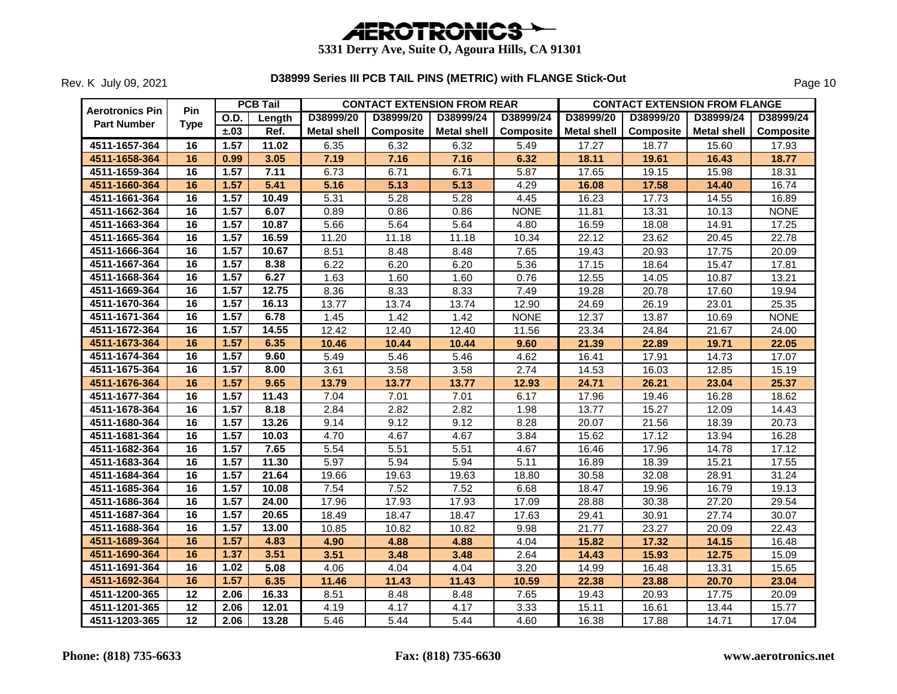

|                                              | Pin             |             | <b>PCB Tail</b> |                    |           | <b>CONTACT EXTENSION FROM REAR</b> |                  |                    |           | <b>CONTACT EXTENSION FROM FLANGE</b> |             |
|----------------------------------------------|-----------------|-------------|-----------------|--------------------|-----------|------------------------------------|------------------|--------------------|-----------|--------------------------------------|-------------|
| <b>Aerotronics Pin</b><br><b>Part Number</b> | <b>Type</b>     | <b>O.D.</b> | Length          | D38999/20          | D38999/20 | D38999/24                          | D38999/24        | D38999/20          | D38999/20 | D38999/24                            | D38999/24   |
|                                              |                 | ±.03        | Ref.            | <b>Metal shell</b> | Composite | <b>Metal shell</b>                 | <b>Composite</b> | <b>Metal shell</b> | Composite | <b>Metal shell</b>                   | Composite   |
| 4511-1657-364                                | 16              | 1.57        | 11.02           | 6.35               | 6.32      | 6.32                               | 5.49             | 17.27              | 18.77     | 15.60                                | 17.93       |
| 4511-1658-364                                | 16              | 0.99        | 3.05            | 7.19               | 7.16      | 7.16                               | 6.32             | 18.11              | 19.61     | 16.43                                | 18.77       |
| 4511-1659-364                                | 16              | 1.57        | 7.11            | 6.73               | 6.71      | 6.71                               | 5.87             | 17.65              | 19.15     | 15.98                                | 18.31       |
| 4511-1660-364                                | 16              | 1.57        | 5.41            | 5.16               | 5.13      | 5.13                               | 4.29             | 16.08              | 17.58     | 14.40                                | 16.74       |
| 4511-1661-364                                | $\overline{16}$ | 1.57        | 10.49           | 5.31               | 5.28      | 5.28                               | 4.45             | 16.23              | 17.73     | 14.55                                | 16.89       |
| 4511-1662-364                                | 16              | 1.57        | 6.07            | 0.89               | 0.86      | 0.86                               | <b>NONE</b>      | 11.81              | 13.31     | 10.13                                | <b>NONE</b> |
| 4511-1663-364                                | 16              | 1.57        | 10.87           | 5.66               | 5.64      | 5.64                               | 4.80             | 16.59              | 18.08     | 14.91                                | 17.25       |
| 4511-1665-364                                | 16              | 1.57        | 16.59           | 11.20              | 11.18     | 11.18                              | 10.34            | 22.12              | 23.62     | 20.45                                | 22.78       |
| 4511-1666-364                                | 16              | 1.57        | 10.67           | 8.51               | 8.48      | 8.48                               | 7.65             | 19.43              | 20.93     | 17.75                                | 20.09       |
| 4511-1667-364                                | 16              | 1.57        | 8.38            | 6.22               | 6.20      | 6.20                               | 5.36             | 17.15              | 18.64     | 15.47                                | 17.81       |
| 4511-1668-364                                | 16              | 1.57        | 6.27            | 1.63               | 1.60      | 1.60                               | 0.76             | 12.55              | 14.05     | 10.87                                | 13.21       |
| 4511-1669-364                                | 16              | 1.57        | 12.75           | 8.36               | 8.33      | 8.33                               | 7.49             | 19.28              | 20.78     | 17.60                                | 19.94       |
| 4511-1670-364                                | 16              | 1.57        | 16.13           | 13.77              | 13.74     | 13.74                              | 12.90            | 24.69              | 26.19     | 23.01                                | 25.35       |
| 4511-1671-364                                | 16              | 1.57        | 6.78            | 1.45               | 1.42      | 1.42                               | <b>NONE</b>      | 12.37              | 13.87     | 10.69                                | <b>NONE</b> |
| 4511-1672-364                                | 16              | 1.57        | 14.55           | 12.42              | 12.40     | 12.40                              | 11.56            | 23.34              | 24.84     | 21.67                                | 24.00       |
| 4511-1673-364                                | 16              | 1.57        | 6.35            | 10.46              | 10.44     | 10.44                              | 9.60             | 21.39              | 22.89     | 19.71                                | 22.05       |
| 4511-1674-364                                | 16              | 1.57        | 9.60            | 5.49               | 5.46      | 5.46                               | 4.62             | 16.41              | 17.91     | 14.73                                | 17.07       |
| 4511-1675-364                                | 16              | 1.57        | 8.00            | 3.61               | 3.58      | 3.58                               | 2.74             | 14.53              | 16.03     | 12.85                                | 15.19       |
| 4511-1676-364                                | 16              | 1.57        | 9.65            | 13.79              | 13.77     | 13.77                              | 12.93            | 24.71              | 26.21     | 23.04                                | 25.37       |
| 4511-1677-364                                | 16              | 1.57        | 11.43           | 7.04               | 7.01      | 7.01                               | 6.17             | 17.96              | 19.46     | 16.28                                | 18.62       |
| 4511-1678-364                                | 16              | 1.57        | 8.18            | 2.84               | 2.82      | 2.82                               | 1.98             | 13.77              | 15.27     | 12.09                                | 14.43       |
| 4511-1680-364                                | 16              | 1.57        | 13.26           | 9.14               | 9.12      | 9.12                               | 8.28             | 20.07              | 21.56     | 18.39                                | 20.73       |
| 4511-1681-364                                | 16              | 1.57        | 10.03           | 4.70               | 4.67      | 4.67                               | 3.84             | 15.62              | 17.12     | 13.94                                | 16.28       |
| 4511-1682-364                                | 16              | 1.57        | 7.65            | 5.54               | 5.51      | 5.51                               | 4.67             | 16.46              | 17.96     | 14.78                                | 17.12       |
| 4511-1683-364                                | 16              | 1.57        | 11.30           | 5.97               | 5.94      | 5.94                               | 5.11             | 16.89              | 18.39     | 15.21                                | 17.55       |
| 4511-1684-364                                | 16              | 1.57        | 21.64           | 19.66              | 19.63     | 19.63                              | 18.80            | 30.58              | 32.08     | 28.91                                | 31.24       |
| 4511-1685-364                                | 16              | 1.57        | 10.08           | 7.54               | 7.52      | 7.52                               | 6.68             | 18.47              | 19.96     | 16.79                                | 19.13       |
| 4511-1686-364                                | 16              | 1.57        | 24.00           | 17.96              | 17.93     | 17.93                              | 17.09            | 28.88              | 30.38     | 27.20                                | 29.54       |
| 4511-1687-364                                | 16              | 1.57        | 20.65           | 18.49              | 18.47     | 18.47                              | 17.63            | 29.41              | 30.91     | 27.74                                | 30.07       |
| 4511-1688-364                                | 16              | 1.57        | 13.00           | 10.85              | 10.82     | 10.82                              | 9.98             | 21.77              | 23.27     | 20.09                                | 22.43       |
| 4511-1689-364                                | 16              | 1.57        | 4.83            | 4.90               | 4.88      | 4.88                               | 4.04             | 15.82              | 17.32     | 14.15                                | 16.48       |
| 4511-1690-364                                | 16              | 1.37        | 3.51            | 3.51               | 3.48      | 3.48                               | 2.64             | 14.43              | 15.93     | 12.75                                | 15.09       |
| 4511-1691-364                                | 16              | 1.02        | 5.08            | 4.06               | 4.04      | 4.04                               | 3.20             | 14.99              | 16.48     | 13.31                                | 15.65       |
| 4511-1692-364                                | 16              | 1.57        | 6.35            | 11.46              | 11.43     | 11.43                              | 10.59            | 22.38              | 23.88     | 20.70                                | 23.04       |
| 4511-1200-365                                | 12              | 2.06        | 16.33           | 8.51               | 8.48      | 8.48                               | 7.65             | 19.43              | 20.93     | 17.75                                | 20.09       |
| 4511-1201-365                                | $\overline{12}$ | 2.06        | 12.01           | 4.19               | 4.17      | 4.17                               | 3.33             | 15.11              | 16.61     | 13.44                                | 15.77       |
| 4511-1203-365                                | 12              | 2.06        | 13.28           | 5.46               | 5.44      | 5.44                               | 4.60             | 16.38              | 17.88     | 14.71                                | 17.04       |